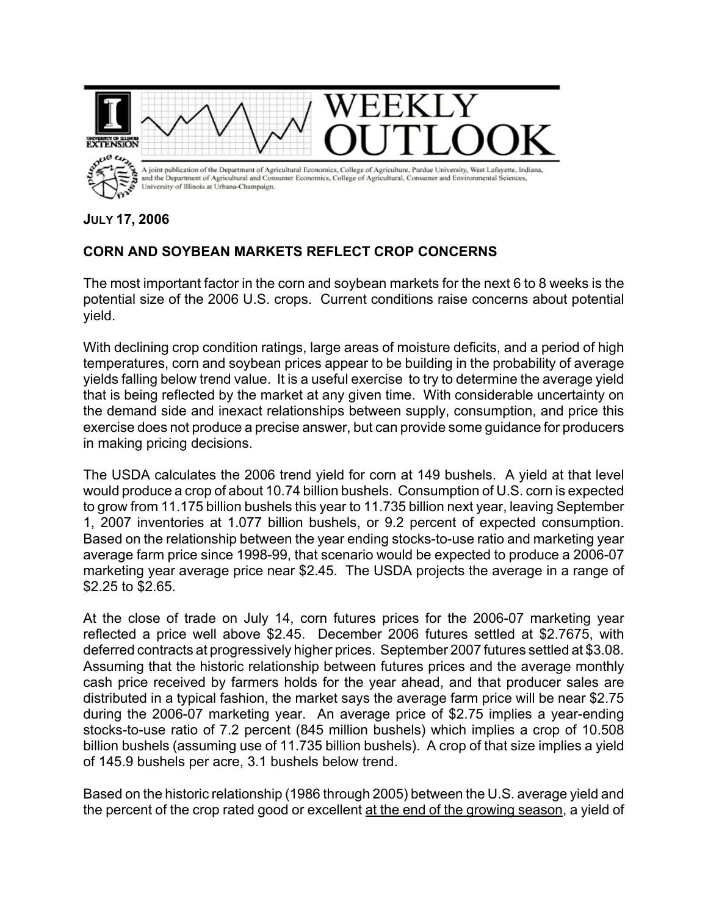

**JULY 17, 2006**

## **CORN AND SOYBEAN MARKETS REFLECT CROP CONCERNS**

The most important factor in the corn and soybean markets for the next 6 to 8 weeks is the potential size of the 2006 U.S. crops. Current conditions raise concerns about potential yield.

With declining crop condition ratings, large areas of moisture deficits, and a period of high temperatures, corn and soybean prices appear to be building in the probability of average yields falling below trend value. It is a useful exercise to try to determine the average yield that is being reflected by the market at any given time. With considerable uncertainty on the demand side and inexact relationships between supply, consumption, and price this exercise does not produce a precise answer, but can provide some guidance for producers in making pricing decisions.

The USDA calculates the 2006 trend yield for corn at 149 bushels. A yield at that level would produce a crop of about 10.74 billion bushels. Consumption of U.S. corn is expected to grow from 11.175 billion bushels this year to 11.735 billion next year, leaving September 1, 2007 inventories at 1.077 billion bushels, or 9.2 percent of expected consumption. Based on the relationship between the year ending stocks-to-use ratio and marketing year average farm price since 1998-99, that scenario would be expected to produce a 2006-07 marketing year average price near \$2.45. The USDA projects the average in a range of \$2.25 to \$2.65.

At the close of trade on July 14, corn futures prices for the 2006-07 marketing year reflected a price well above \$2.45. December 2006 futures settled at \$2.7675, with deferred contracts at progressively higher prices. September 2007 futures settled at \$3.08. Assuming that the historic relationship between futures prices and the average monthly cash price received by farmers holds for the year ahead, and that producer sales are distributed in a typical fashion, the market says the average farm price will be near \$2.75 during the 2006-07 marketing year. An average price of \$2.75 implies a year-ending stocks-to-use ratio of 7.2 percent (845 million bushels) which implies a crop of 10.508 billion bushels (assuming use of 11.735 billion bushels). A crop of that size implies a yield of 145.9 bushels per acre, 3.1 bushels below trend.

Based on the historic relationship (1986 through 2005) between the U.S. average yield and the percent of the crop rated good or excellent at the end of the growing season, a yield of